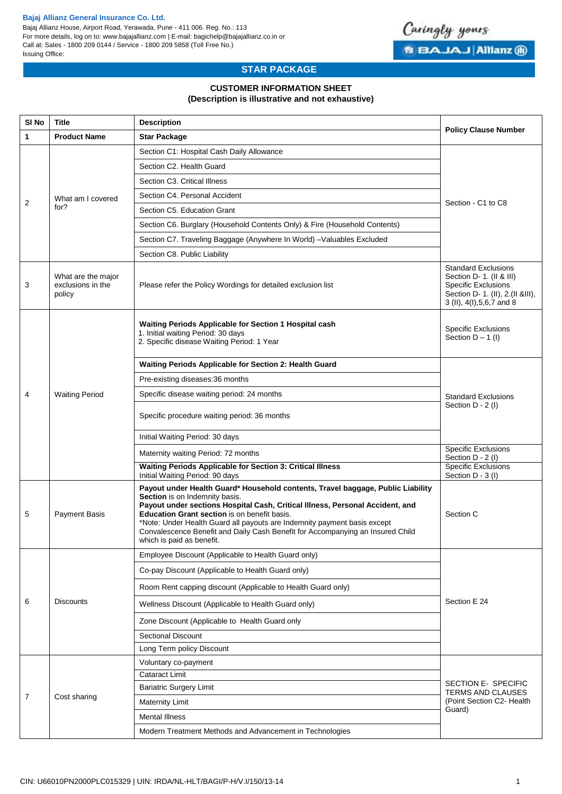### **Bajaj Allianz General Insurance Co. Ltd.**

Bajaj Allianz House, Airport Road, Yerawada, Pune - 411 006. Reg. No.: 113 For more details, log on to: www.bajajallianz.com | E-mail: bagichelp@bajajallianz.co.in or Call at: Sales - 1800 209 0144 / Service - 1800 209 5858 (Toll Free No.) Issuing Office:



# **STAR PACKAGE**

# **CUSTOMER INFORMATION SHEET (Description is illustrative and not exhaustive)**

| SI <sub>No</sub> | Title                                             | <b>Description</b>                                                                                                                                                                                                                                                                                                                                                                                                                            | <b>Policy Clause Number</b>                                                                                                                               |  |  |
|------------------|---------------------------------------------------|-----------------------------------------------------------------------------------------------------------------------------------------------------------------------------------------------------------------------------------------------------------------------------------------------------------------------------------------------------------------------------------------------------------------------------------------------|-----------------------------------------------------------------------------------------------------------------------------------------------------------|--|--|
| 1                | <b>Product Name</b>                               | <b>Star Package</b>                                                                                                                                                                                                                                                                                                                                                                                                                           |                                                                                                                                                           |  |  |
|                  |                                                   | Section C1: Hospital Cash Daily Allowance                                                                                                                                                                                                                                                                                                                                                                                                     |                                                                                                                                                           |  |  |
|                  |                                                   | Section C2. Health Guard                                                                                                                                                                                                                                                                                                                                                                                                                      |                                                                                                                                                           |  |  |
|                  |                                                   | Section C3. Critical Illness                                                                                                                                                                                                                                                                                                                                                                                                                  |                                                                                                                                                           |  |  |
|                  | What am I covered                                 | Section C4. Personal Accident                                                                                                                                                                                                                                                                                                                                                                                                                 | Section - C1 to C8                                                                                                                                        |  |  |
| 2                | for?                                              | Section C5. Education Grant                                                                                                                                                                                                                                                                                                                                                                                                                   |                                                                                                                                                           |  |  |
|                  |                                                   | Section C6. Burglary (Household Contents Only) & Fire (Household Contents)                                                                                                                                                                                                                                                                                                                                                                    |                                                                                                                                                           |  |  |
|                  |                                                   | Section C7. Traveling Baggage (Anywhere In World) - Valuables Excluded                                                                                                                                                                                                                                                                                                                                                                        |                                                                                                                                                           |  |  |
|                  |                                                   | Section C8. Public Liability                                                                                                                                                                                                                                                                                                                                                                                                                  |                                                                                                                                                           |  |  |
| 3                | What are the major<br>exclusions in the<br>policy | Please refer the Policy Wordings for detailed exclusion list                                                                                                                                                                                                                                                                                                                                                                                  | <b>Standard Exclusions</b><br>Section D- 1. (II & III)<br><b>Specific Exclusions</b><br>Section D- 1. (II), 2. (II & III),<br>3 (II), 4(I), 5, 6, 7 and 8 |  |  |
|                  |                                                   | Waiting Periods Applicable for Section 1 Hospital cash<br>1. Initial waiting Period: 30 days<br>2. Specific disease Waiting Period: 1 Year                                                                                                                                                                                                                                                                                                    | <b>Specific Exclusions</b><br>Section $D - 1$ (I)                                                                                                         |  |  |
|                  |                                                   | Waiting Periods Applicable for Section 2: Health Guard                                                                                                                                                                                                                                                                                                                                                                                        |                                                                                                                                                           |  |  |
|                  |                                                   | Pre-existing diseases:36 months                                                                                                                                                                                                                                                                                                                                                                                                               | <b>Standard Exclusions</b><br>Section D - 2 (I)                                                                                                           |  |  |
| 4                | <b>Waiting Period</b>                             | Specific disease waiting period: 24 months                                                                                                                                                                                                                                                                                                                                                                                                    |                                                                                                                                                           |  |  |
|                  |                                                   | Specific procedure waiting period: 36 months                                                                                                                                                                                                                                                                                                                                                                                                  |                                                                                                                                                           |  |  |
|                  |                                                   | Initial Waiting Period: 30 days                                                                                                                                                                                                                                                                                                                                                                                                               |                                                                                                                                                           |  |  |
|                  |                                                   | Maternity waiting Period: 72 months                                                                                                                                                                                                                                                                                                                                                                                                           | <b>Specific Exclusions</b><br>Section D - 2 (I)                                                                                                           |  |  |
|                  |                                                   | <b>Waiting Periods Applicable for Section 3: Critical Illness</b><br>Initial Waiting Period: 90 days                                                                                                                                                                                                                                                                                                                                          | <b>Specific Exclusions</b><br>Section D - 3 (I)                                                                                                           |  |  |
| 5                | <b>Payment Basis</b>                              | Payout under Health Guard* Household contents, Travel baggage, Public Liability<br>Section is on Indemnity basis.<br>Payout under sections Hospital Cash, Critical Illness, Personal Accident, and<br>Education Grant section is on benefit basis.<br>*Note: Under Health Guard all payouts are Indemnity payment basis except<br>Convalescence Benefit and Daily Cash Benefit for Accompanying an Insured Child<br>which is paid as benefit. | Section C                                                                                                                                                 |  |  |
|                  | <b>Discounts</b>                                  | Employee Discount (Applicable to Health Guard only)                                                                                                                                                                                                                                                                                                                                                                                           |                                                                                                                                                           |  |  |
|                  |                                                   | Co-pay Discount (Applicable to Health Guard only)                                                                                                                                                                                                                                                                                                                                                                                             | Section E 24                                                                                                                                              |  |  |
| 6                |                                                   | Room Rent capping discount (Applicable to Health Guard only)                                                                                                                                                                                                                                                                                                                                                                                  |                                                                                                                                                           |  |  |
|                  |                                                   | Wellness Discount (Applicable to Health Guard only)                                                                                                                                                                                                                                                                                                                                                                                           |                                                                                                                                                           |  |  |
|                  |                                                   | Zone Discount (Applicable to Health Guard only                                                                                                                                                                                                                                                                                                                                                                                                |                                                                                                                                                           |  |  |
|                  |                                                   | <b>Sectional Discount</b>                                                                                                                                                                                                                                                                                                                                                                                                                     |                                                                                                                                                           |  |  |
|                  |                                                   | Long Term policy Discount                                                                                                                                                                                                                                                                                                                                                                                                                     |                                                                                                                                                           |  |  |
| 7                | Cost sharing                                      | Voluntary co-payment                                                                                                                                                                                                                                                                                                                                                                                                                          |                                                                                                                                                           |  |  |
|                  |                                                   | <b>Cataract Limit</b><br><b>Bariatric Surgery Limit</b>                                                                                                                                                                                                                                                                                                                                                                                       | SECTION E-SPECIFIC<br>TERMS AND CLAUSES<br>(Point Section C2- Health                                                                                      |  |  |
|                  |                                                   | <b>Maternity Limit</b>                                                                                                                                                                                                                                                                                                                                                                                                                        |                                                                                                                                                           |  |  |
|                  |                                                   | <b>Mental Illness</b>                                                                                                                                                                                                                                                                                                                                                                                                                         | Guard)                                                                                                                                                    |  |  |
|                  |                                                   | Modern Treatment Methods and Advancement in Technologies                                                                                                                                                                                                                                                                                                                                                                                      |                                                                                                                                                           |  |  |
|                  |                                                   |                                                                                                                                                                                                                                                                                                                                                                                                                                               |                                                                                                                                                           |  |  |